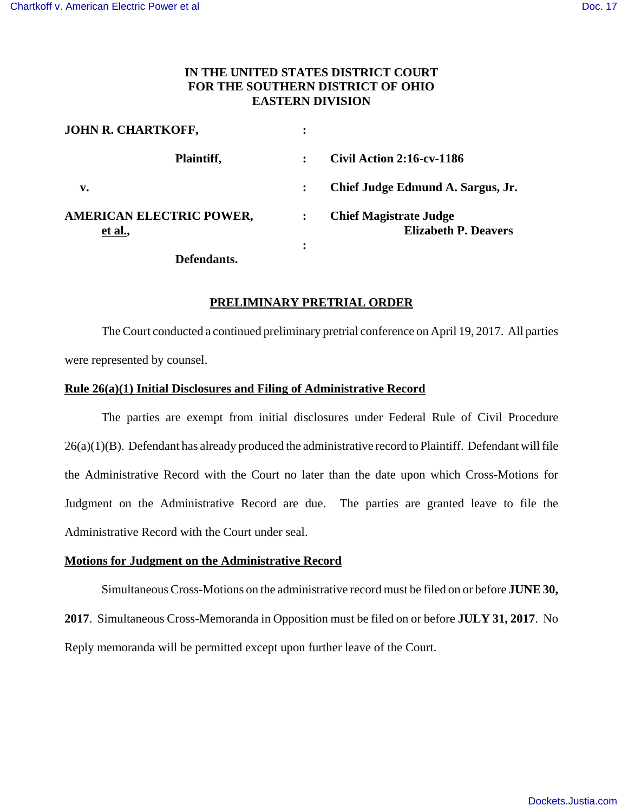## **IN THE UNITED STATES DISTRICT COURT FOR THE SOUTHERN DISTRICT OF OHIO EASTERN DIVISION**

| <b>JOHN R. CHARTKOFF,</b>                         | ٠              |                                                              |
|---------------------------------------------------|----------------|--------------------------------------------------------------|
| Plaintiff,                                        |                | <b>Civil Action 2:16-cv-1186</b>                             |
| $\mathbf{v}_{\bullet}$                            |                | Chief Judge Edmund A. Sargus, Jr.                            |
| <b>AMERICAN ELECTRIC POWER,</b><br><u>et al.,</u> | $\ddot{\cdot}$ | <b>Chief Magistrate Judge</b><br><b>Elizabeth P. Deavers</b> |
| Defendants.                                       | ٠<br>٠         |                                                              |

## **PRELIMINARY PRETRIAL ORDER**

The Court conducted a continued preliminary pretrial conference on April 19, 2017. All parties were represented by counsel.

## **Rule 26(a)(1) Initial Disclosures and Filing of Administrative Record**

The parties are exempt from initial disclosures under Federal Rule of Civil Procedure 26(a)(1)(B). Defendant has already produced the administrative record to Plaintiff. Defendant will file the Administrative Record with the Court no later than the date upon which Cross-Motions for Judgment on the Administrative Record are due. The parties are granted leave to file the Administrative Record with the Court under seal.

## **Motions for Judgment on the Administrative Record**

Simultaneous Cross-Motions on the administrative record must be filed on or before **JUNE 30, 2017**. Simultaneous Cross-Memoranda in Opposition must be filed on or before **JULY 31, 2017**. No Reply memoranda will be permitted except upon further leave of the Court.